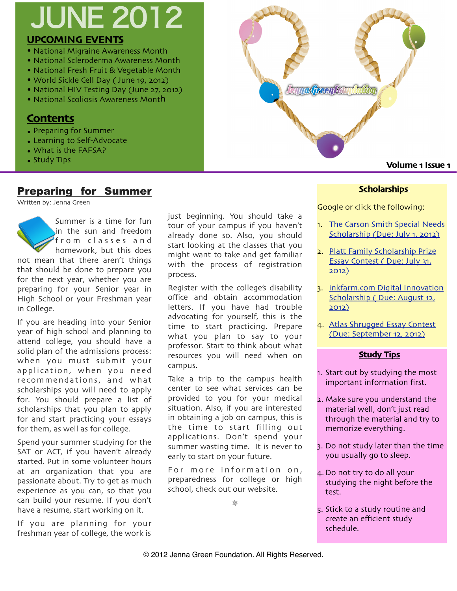# **UPCOMING EVENTS** JUNE 2012

- National Migraine Awareness Month
- National Scleroderma Awareness Month
- National Fresh Fruit & Vegetable Month
- World Sickle Cell Day ( June 19, 2012)
- National HIV Testing Day (June 27, 2012)
- National Scoliosis Awareness Month

## **Contents**

- Preparing for Summer
- Learning to Self-Advocate
- What is the FAFSA?
- Study Tips

## Preparing for Summer

Written by: Jenna Green



If you are heading into your Senior year of high school and planning to attend college, you should have a solid plan of the admissions process: when you must submit your application, when you need recommendations, and what scholarships you will need to apply for. You should prepare a list of scholarships that you plan to apply for and start practicing your essays for them, as well as for college.

Spend your summer studying for the SAT or ACT, if you haven't already started. Put in some volunteer hours at an organization that you are passionate about. Try to get as much experience as you can, so that you can build your resume. If you don't have a resume, start working on it.

If you are planning for your freshman year of college, the work is

just beginning. You should take a tour of your campus if you haven't already done so. Also, you should start looking at the classes that you might want to take and get familiar with the process of registration process.

Register with the college's disability office and obtain accommodation letters. If you have had trouble advocating for yourself, this is the time to start practicing. Prepare what you plan to say to your professor. Start to think about what resources you will need when on campus.

Take a trip to the campus health center to see what services can be provided to you for your medical situation. Also, if you are interested in obtaining a job on campus, this is the time to start filling out applications. Don't spend your summer wasting time. It is never to early to start on your future.

For more information on, preparedness for college or high school, check out our website.

❊



### **Scholarships.**

Google or click the following:

- 1. [The Carson Smith Special Needs](http://choiceineducation.org/carsonsmith.php)  [Scholarship](http://choiceineducation.org/carsonsmith.php) (Due: July 1, 2012)
- 2. [Platt Family Scholarship Prize](http://www.thelincolnforum.org/scholarship-essay-contest.php)  [Essay Contest](http://www.thelincolnforum.org/scholarship-essay-contest.php) ( Due: July 31, [2012\)](http://www.thelincolnforum.org/scholarship-essay-contest.php)
- 3. inkfarm.[com Digital Innovation](http://www.inkfarm.com/Digital-Innovation-Scholarship)  Scholarship ( [Due: August](http://www.inkfarm.com/Digital-Innovation-Scholarship) 12, [2012\)](http://www.inkfarm.com/Digital-Innovation-Scholarship)
- 4. [Atlas Shrugged Essay Contest](http://essaycontest.aynrandnovels.com/AtlasShrugged.aspx?theme=blue)  ([Due: September](http://essaycontest.aynrandnovels.com/AtlasShrugged.aspx?theme=blue) 12, 2012)

#### **Study Tips**

- 1. Start out by studying the most important information first.
- 2. Make sure you understand the material well, don't just read through the material and try to memorize everything.
- 3. Do not study later than the time you usually go to sleep.
- 4. Do not try to do all your studying the night before the test.
- 5. Stick to a study routine and create an efficient study schedule.